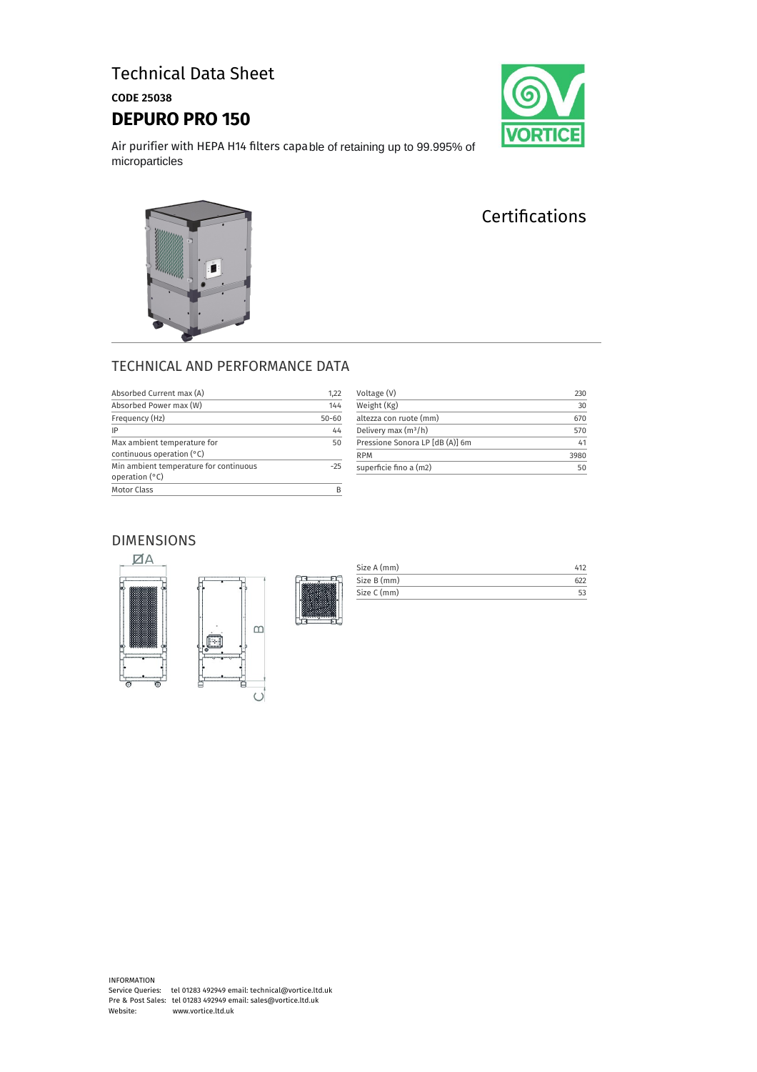## Technical Data Sheet

CODE 25038

### **DEPURO PRO 150**



Air purifier with HEPA H14 filters capable of retaining up to 99.995% of microparticles

# **Certifications**



Ă

| Absorbed Current max (A)                                          | 1,22      |
|-------------------------------------------------------------------|-----------|
| Absorbed Power max (W)                                            | 144       |
| Frequency (Hz)                                                    | $50 - 60$ |
| IP                                                                | 44        |
| Max ambient temperature for<br>continuous operation $(°C)$        | 50        |
| Min ambient temperature for continuous<br>operation $(^{\circ}C)$ | $-25$     |
| <b>Motor Class</b>                                                |           |

| Voltage (V)                     | 230  |
|---------------------------------|------|
| Weight (Kg)                     | 30   |
| altezza con ruote (mm)          | 670  |
| Delivery max $(m^3/h)$          | 570  |
| Pressione Sonora LP [dB (A)] 6m | 41   |
| <b>RPM</b>                      | 3980 |
| superficie fino a (m2)          | 50   |

### DIMENSIONS





| Size A (mm) |  |
|-------------|--|
| Size B (mm) |  |
| Size C (mm) |  |